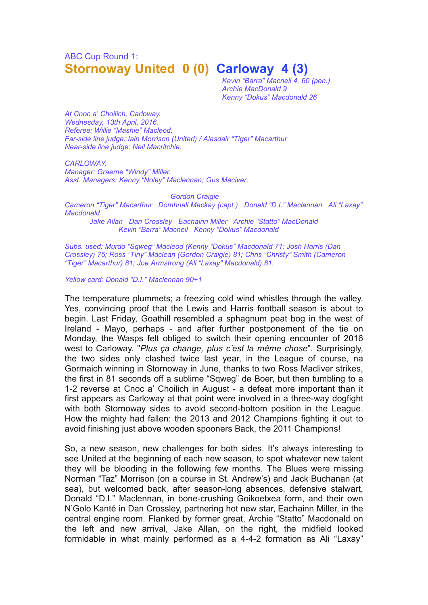## ABC Cup Round 1: **Stornoway United 0 (0) Carloway 4 (3)**

*Kevin "Barra" Macneil 4, 60 (pen.) Archie MacDonald 9 Kenny "Dokus" Macdonald 26*

*At Cnoc a' Choilich, Carloway. Wednesday, 13th April, 2016. Referee: Willie "Mashie" Macleod. Far-side line judge: Iain Morrison (United) / Alasdair "Tiger" Macarthur Near-side line judge: Neil Macritchie.*

*CARLOWAY. Manager: Graeme "Windy" Miller. Asst. Managers: Kenny "Noley" Maclennan; Gus Maciver.*

*Gordon Craigie Cameron "Tiger" Macarthur Domhnall Mackay (capt.) Donald "D.I." Maclennan Ali "Laxay" Macdonald*

*Jake Allan Dan Crossley Eachainn Miller Archie "Statto" MacDonald Kevin "Barra" Macneil Kenny "Dokus" Macdonald*

*Subs. used: Murdo "Sqweg" Macleod (Kenny "Dokus" Macdonald 71; Josh Harris (Dan Crossley) 75; Ross "Tiny" Maclean (Gordon Craigie) 81; Chris "Christy" Smith (Cameron "Tiger" Macarthur) 81; Joe Armstrong (Ali "Laxay" Macdonald) 81.*

*Yellow card: Donald "D.I." Maclennan 90+1*

The temperature plummets; a freezing cold wind whistles through the valley. Yes, convincing proof that the Lewis and Harris football season is about to begin. Last Friday, Goathill resembled a sphagnum peat bog in the west of Ireland - Mayo, perhaps - and after further postponement of the tie on Monday, the Wasps felt obliged to switch their opening encounter of 2016 west to Carloway. "*Plus ça change, plus c'est la même chose*". Surprisingly, the two sides only clashed twice last year, in the League of course, na Gormaich winning in Stornoway in June, thanks to two Ross Macliver strikes, the first in 81 seconds off a sublime "Sqweg" de Boer, but then tumbling to a 1-2 reverse at Cnoc a' Choilich in August - a defeat more important than it first appears as Carloway at that point were involved in a three-way dogfight with both Stornoway sides to avoid second-bottom position in the League. How the mighty had fallen: the 2013 and 2012 Champions fighting it out to avoid finishing just above wooden spooners Back, the 2011 Champions!

So, a new season, new challenges for both sides. It's always interesting to see United at the beginning of each new season, to spot whatever new talent they will be blooding in the following few months. The Blues were missing Norman "Taz" Morrison (on a course in St. Andrew's) and Jack Buchanan (at sea), but welcomed back, after season-long absences, defensive stalwart, Donald "D.I." Maclennan, in bone-crushing Goikoetxea form, and their own N'Golo Kanté in Dan Crossley, partnering hot new star, Eachainn Miller, in the central engine room. Flanked by former great, Archie "Statto" Macdonald on the left and new arrival, Jake Allan, on the right, the midfield looked formidable in what mainly performed as a 4-4-2 formation as Ali "Laxay"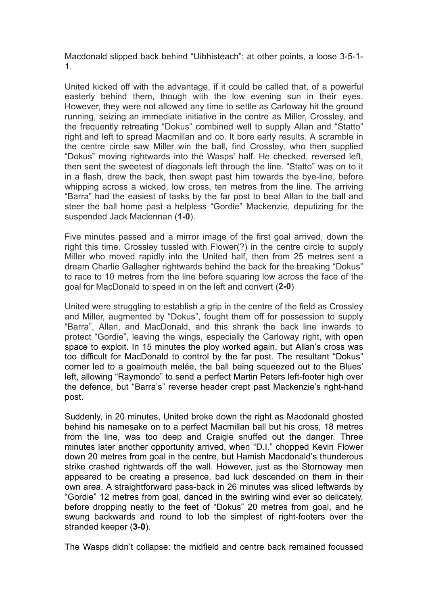Macdonald slipped back behind "Uibhisteach"; at other points, a loose 3-5-1- 1.

United kicked off with the advantage, if it could be called that, of a powerful easterly behind them, though with the low evening sun in their eyes. However, they were not allowed any time to settle as Carloway hit the ground running, seizing an immediate initiative in the centre as Miller, Crossley, and the frequently retreating "Dokus" combined well to supply Allan and "Statto" right and left to spread Macmillan and co. It bore early results. A scramble in the centre circle saw Miller win the ball, find Crossley, who then supplied "Dokus" moving rightwards into the Wasps' half. He checked, reversed left, then sent the sweetest of diagonals left through the line. "Statto" was on to it in a flash, drew the back, then swept past him towards the bye-line, before whipping across a wicked, low cross, ten metres from the line. The arriving "Barra" had the easiest of tasks by the far post to beat Allan to the ball and steer the ball home past a helpless "Gordie" Mackenzie, deputizing for the suspended Jack Maclennan (**1-0**).

Five minutes passed and a mirror image of the first goal arrived, down the right this time. Crossley tussled with Flower(?) in the centre circle to supply Miller who moved rapidly into the United half, then from 25 metres sent a dream Charlie Gallagher rightwards behind the back for the breaking "Dokus" to race to 10 metres from the line before squaring low across the face of the goal for MacDonald to speed in on the left and convert (**2-0**)

United were struggling to establish a grip in the centre of the field as Crossley and Miller, augmented by "Dokus", fought them off for possession to supply "Barra", Allan, and MacDonald, and this shrank the back line inwards to protect "Gordie", leaving the wings, especially the Carloway right, with open space to exploit. In 15 minutes the ploy worked again, but Allan's cross was too difficult for MacDonald to control by the far post. The resultant "Dokus" corner led to a goalmouth melée, the ball being squeezed out to the Blues' left, allowing "Raymondo" to send a perfect Martin Peters left-footer high over the defence, but "Barra's" reverse header crept past Mackenzie's right-hand post.

Suddenly, in 20 minutes, United broke down the right as Macdonald ghosted behind his namesake on to a perfect Macmillan ball but his cross, 18 metres from the line, was too deep and Craigie snuffed out the danger. Three minutes later another opportunity arrived, when "D.I." chopped Kevin Flower down 20 metres from goal in the centre, but Hamish Macdonald's thunderous strike crashed rightwards off the wall. However, just as the Stornoway men appeared to be creating a presence, bad luck descended on them in their own area. A straightforward pass-back in 26 minutes was sliced leftwards by "Gordie" 12 metres from goal, danced in the swirling wind ever so delicately, before dropping neatly to the feet of "Dokus" 20 metres from goal, and he swung backwards and round to lob the simplest of right-footers over the stranded keeper (**3-0**).

The Wasps didn't collapse: the midfield and centre back remained focussed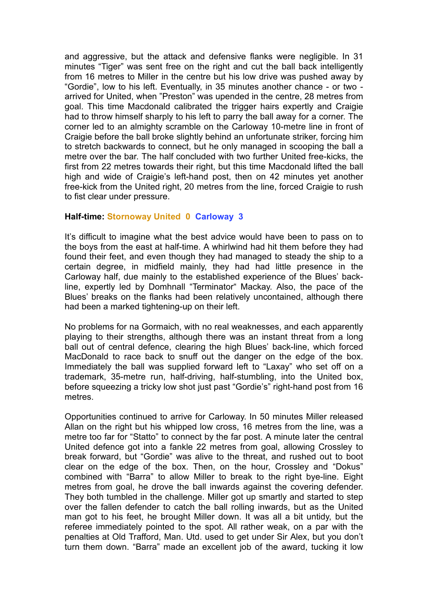and aggressive, but the attack and defensive flanks were negligible. In 31 minutes "Tiger" was sent free on the right and cut the ball back intelligently from 16 metres to Miller in the centre but his low drive was pushed away by "Gordie", low to his left. Eventually, in 35 minutes another chance - or two arrived for United, when "Preston" was upended in the centre, 28 metres from goal. This time Macdonald calibrated the trigger hairs expertly and Craigie had to throw himself sharply to his left to parry the ball away for a corner. The corner led to an almighty scramble on the Carloway 10-metre line in front of Craigie before the ball broke slightly behind an unfortunate striker, forcing him to stretch backwards to connect, but he only managed in scooping the ball a metre over the bar. The half concluded with two further United free-kicks, the first from 22 metres towards their right, but this time Macdonald lifted the ball high and wide of Craigie's left-hand post, then on 42 minutes yet another free-kick from the United right, 20 metres from the line, forced Craigie to rush to fist clear under pressure.

## **Half-time: Stornoway United 0 Carloway 3**

It's difficult to imagine what the best advice would have been to pass on to the boys from the east at half-time. A whirlwind had hit them before they had found their feet, and even though they had managed to steady the ship to a certain degree, in midfield mainly, they had had little presence in the Carloway half, due mainly to the established experience of the Blues' backline, expertly led by Domhnall "Terminator" Mackay. Also, the pace of the Blues' breaks on the flanks had been relatively uncontained, although there had been a marked tightening-up on their left.

No problems for na Gormaich, with no real weaknesses, and each apparently playing to their strengths, although there was an instant threat from a long ball out of central defence, clearing the high Blues' back-line, which forced MacDonald to race back to snuff out the danger on the edge of the box. Immediately the ball was supplied forward left to "Laxay" who set off on a trademark, 35-metre run, half-driving, half-stumbling, into the United box, before squeezing a tricky low shot just past "Gordie's" right-hand post from 16 metres.

Opportunities continued to arrive for Carloway. In 50 minutes Miller released Allan on the right but his whipped low cross, 16 metres from the line, was a metre too far for "Statto" to connect by the far post. A minute later the central United defence got into a fankle 22 metres from goal, allowing Crossley to break forward, but "Gordie" was alive to the threat, and rushed out to boot clear on the edge of the box. Then, on the hour, Crossley and "Dokus" combined with "Barra" to allow Miller to break to the right bye-line. Eight metres from goal, he drove the ball inwards against the covering defender. They both tumbled in the challenge. Miller got up smartly and started to step over the fallen defender to catch the ball rolling inwards, but as the United man got to his feet, he brought Miller down. It was all a bit untidy, but the referee immediately pointed to the spot. All rather weak, on a par with the penalties at Old Trafford, Man. Utd. used to get under Sir Alex, but you don't turn them down. "Barra" made an excellent job of the award, tucking it low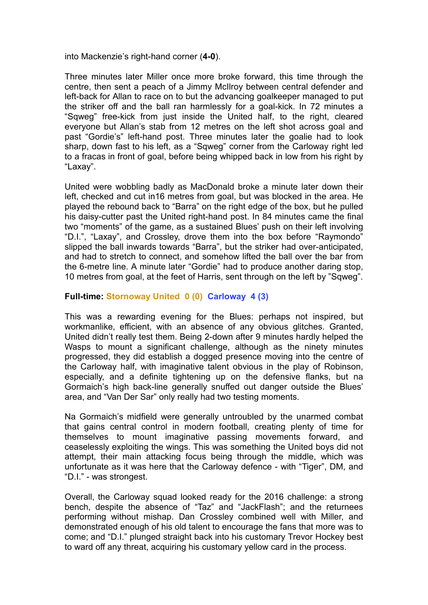into Mackenzie's right-hand corner (**4-0**).

Three minutes later Miller once more broke forward, this time through the centre, then sent a peach of a Jimmy McIlroy between central defender and left-back for Allan to race on to but the advancing goalkeeper managed to put the striker off and the ball ran harmlessly for a goal-kick. In 72 minutes a "Sqweg" free-kick from just inside the United half, to the right, cleared everyone but Allan's stab from 12 metres on the left shot across goal and past "Gordie's" left-hand post. Three minutes later the goalie had to look sharp, down fast to his left, as a "Sqweg" corner from the Carloway right led to a fracas in front of goal, before being whipped back in low from his right by "Laxay".

United were wobbling badly as MacDonald broke a minute later down their left, checked and cut in16 metres from goal, but was blocked in the area. He played the rebound back to "Barra" on the right edge of the box, but he pulled his daisy-cutter past the United right-hand post. In 84 minutes came the final two "moments" of the game, as a sustained Blues' push on their left involving "D.I.", "Laxay", and Crossley, drove them into the box before "Raymondo" slipped the ball inwards towards "Barra", but the striker had over-anticipated, and had to stretch to connect, and somehow lifted the ball over the bar from the 6-metre line. A minute later "Gordie" had to produce another daring stop, 10 metres from goal, at the feet of Harris, sent through on the left by "Sqweg".

## **Full-time: Stornoway United 0 (0) Carloway 4 (3)**

This was a rewarding evening for the Blues: perhaps not inspired, but workmanlike, efficient, with an absence of any obvious glitches. Granted, United didn't really test them. Being 2-down after 9 minutes hardly helped the Wasps to mount a significant challenge, although as the ninety minutes progressed, they did establish a dogged presence moving into the centre of the Carloway half, with imaginative talent obvious in the play of Robinson, especially, and a definite tightening up on the defensive flanks, but na Gormaich's high back-line generally snuffed out danger outside the Blues' area, and "Van Der Sar" only really had two testing moments.

Na Gormaich's midfield were generally untroubled by the unarmed combat that gains central control in modern football, creating plenty of time for themselves to mount imaginative passing movements forward, and ceaselessly exploiting the wings. This was something the United boys did not attempt, their main attacking focus being through the middle, which was unfortunate as it was here that the Carloway defence - with "Tiger", DM, and "D.I." - was strongest.

Overall, the Carloway squad looked ready for the 2016 challenge: a strong bench, despite the absence of "Taz" and "JackFlash"; and the returnees performing without mishap. Dan Crossley combined well with Miller, and demonstrated enough of his old talent to encourage the fans that more was to come; and "D.I." plunged straight back into his customary Trevor Hockey best to ward off any threat, acquiring his customary yellow card in the process.